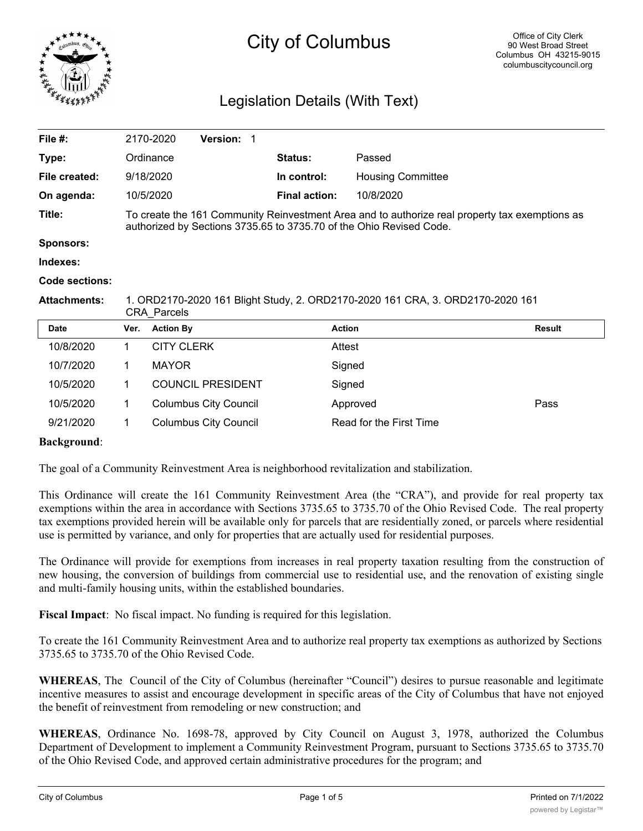

# City of Columbus

# Legislation Details (With Text)

| File $#$ :          |                                                                                                                                                                       | 2170-2020         | Version: 1                   |  |                      |                          |               |
|---------------------|-----------------------------------------------------------------------------------------------------------------------------------------------------------------------|-------------------|------------------------------|--|----------------------|--------------------------|---------------|
| Type:               |                                                                                                                                                                       | Ordinance         |                              |  | <b>Status:</b>       | Passed                   |               |
| File created:       |                                                                                                                                                                       | 9/18/2020         |                              |  | In control:          | <b>Housing Committee</b> |               |
| On agenda:          |                                                                                                                                                                       | 10/5/2020         |                              |  | <b>Final action:</b> | 10/8/2020                |               |
| Title:              | To create the 161 Community Reinvestment Area and to authorize real property tax exemptions as<br>authorized by Sections 3735.65 to 3735.70 of the Ohio Revised Code. |                   |                              |  |                      |                          |               |
| <b>Sponsors:</b>    |                                                                                                                                                                       |                   |                              |  |                      |                          |               |
| Indexes:            |                                                                                                                                                                       |                   |                              |  |                      |                          |               |
| Code sections:      |                                                                                                                                                                       |                   |                              |  |                      |                          |               |
| <b>Attachments:</b> | 1. ORD2170-2020 161 Blight Study, 2. ORD2170-2020 161 CRA, 3. ORD2170-2020 161<br><b>CRA Parcels</b>                                                                  |                   |                              |  |                      |                          |               |
| <b>Date</b>         | Ver.                                                                                                                                                                  | <b>Action By</b>  |                              |  |                      | <b>Action</b>            | <b>Result</b> |
| 10/8/2020           | 1.                                                                                                                                                                    | <b>CITY CLERK</b> |                              |  |                      | Attest                   |               |
| 10/7/2020           |                                                                                                                                                                       | <b>MAYOR</b>      |                              |  |                      | Signed                   |               |
| 10/5/2020           | 1                                                                                                                                                                     |                   | <b>COUNCIL PRESIDENT</b>     |  |                      | Signed                   |               |
| 10/5/2020           | 1                                                                                                                                                                     |                   | <b>Columbus City Council</b> |  |                      | Approved                 | Pass          |
| 9/21/2020           |                                                                                                                                                                       |                   | <b>Columbus City Council</b> |  |                      | Read for the First Time  |               |

## **Background**:

The goal of a Community Reinvestment Area is neighborhood revitalization and stabilization.

This Ordinance will create the 161 Community Reinvestment Area (the "CRA"), and provide for real property tax exemptions within the area in accordance with Sections 3735.65 to 3735.70 of the Ohio Revised Code. The real property tax exemptions provided herein will be available only for parcels that are residentially zoned, or parcels where residential use is permitted by variance, and only for properties that are actually used for residential purposes.

The Ordinance will provide for exemptions from increases in real property taxation resulting from the construction of new housing, the conversion of buildings from commercial use to residential use, and the renovation of existing single and multi-family housing units, within the established boundaries.

**Fiscal Impact**: No fiscal impact. No funding is required for this legislation.

To create the 161 Community Reinvestment Area and to authorize real property tax exemptions as authorized by Sections 3735.65 to 3735.70 of the Ohio Revised Code.

**WHEREAS**, The Council of the City of Columbus (hereinafter "Council") desires to pursue reasonable and legitimate incentive measures to assist and encourage development in specific areas of the City of Columbus that have not enjoyed the benefit of reinvestment from remodeling or new construction; and

**WHEREAS**, Ordinance No. 1698-78, approved by City Council on August 3, 1978, authorized the Columbus Department of Development to implement a Community Reinvestment Program, pursuant to Sections 3735.65 to 3735.70 of the Ohio Revised Code, and approved certain administrative procedures for the program; and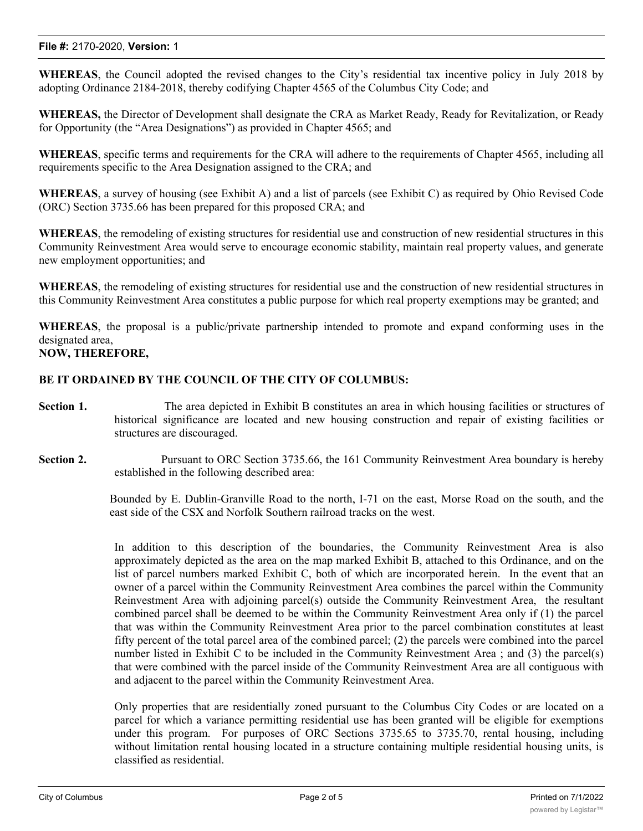#### **File #:** 2170-2020, **Version:** 1

**WHEREAS**, the Council adopted the revised changes to the City's residential tax incentive policy in July 2018 by adopting Ordinance 2184-2018, thereby codifying Chapter 4565 of the Columbus City Code; and

**WHEREAS,** the Director of Development shall designate the CRA as Market Ready, Ready for Revitalization, or Ready for Opportunity (the "Area Designations") as provided in Chapter 4565; and

**WHEREAS**, specific terms and requirements for the CRA will adhere to the requirements of Chapter 4565, including all requirements specific to the Area Designation assigned to the CRA; and

**WHEREAS**, a survey of housing (see Exhibit A) and a list of parcels (see Exhibit C) as required by Ohio Revised Code (ORC) Section 3735.66 has been prepared for this proposed CRA; and

**WHEREAS**, the remodeling of existing structures for residential use and construction of new residential structures in this Community Reinvestment Area would serve to encourage economic stability, maintain real property values, and generate new employment opportunities; and

**WHEREAS**, the remodeling of existing structures for residential use and the construction of new residential structures in this Community Reinvestment Area constitutes a public purpose for which real property exemptions may be granted; and

**WHEREAS**, the proposal is a public/private partnership intended to promote and expand conforming uses in the designated area,

# **NOW, THEREFORE,**

## **BE IT ORDAINED BY THE COUNCIL OF THE CITY OF COLUMBUS:**

- **Section 1.** The area depicted in Exhibit B constitutes an area in which housing facilities or structures of historical significance are located and new housing construction and repair of existing facilities or structures are discouraged.
- **Section 2.** Pursuant to ORC Section 3735.66, the 161 Community Reinvestment Area boundary is hereby established in the following described area:

Bounded by E. Dublin-Granville Road to the north, I-71 on the east, Morse Road on the south, and the east side of the CSX and Norfolk Southern railroad tracks on the west.

In addition to this description of the boundaries, the Community Reinvestment Area is also approximately depicted as the area on the map marked Exhibit B, attached to this Ordinance, and on the list of parcel numbers marked Exhibit C, both of which are incorporated herein. In the event that an owner of a parcel within the Community Reinvestment Area combines the parcel within the Community Reinvestment Area with adjoining parcel(s) outside the Community Reinvestment Area, the resultant combined parcel shall be deemed to be within the Community Reinvestment Area only if (1) the parcel that was within the Community Reinvestment Area prior to the parcel combination constitutes at least fifty percent of the total parcel area of the combined parcel; (2) the parcels were combined into the parcel number listed in Exhibit C to be included in the Community Reinvestment Area ; and (3) the parcel(s) that were combined with the parcel inside of the Community Reinvestment Area are all contiguous with and adjacent to the parcel within the Community Reinvestment Area.

Only properties that are residentially zoned pursuant to the Columbus City Codes or are located on a parcel for which a variance permitting residential use has been granted will be eligible for exemptions under this program. For purposes of ORC Sections 3735.65 to 3735.70, rental housing, including without limitation rental housing located in a structure containing multiple residential housing units, is classified as residential.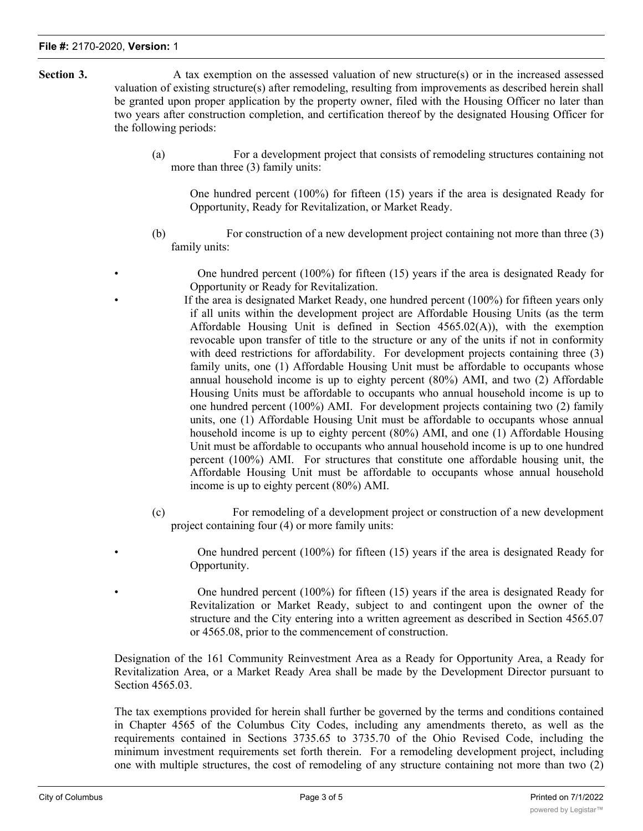- **Section 3.** A tax exemption on the assessed valuation of new structure(s) or in the increased assessed valuation of existing structure(s) after remodeling, resulting from improvements as described herein shall be granted upon proper application by the property owner, filed with the Housing Officer no later than two years after construction completion, and certification thereof by the designated Housing Officer for the following periods:
	- (a) For a development project that consists of remodeling structures containing not more than three (3) family units:

One hundred percent (100%) for fifteen (15) years if the area is designated Ready for Opportunity, Ready for Revitalization, or Market Ready.

(b) For construction of a new development project containing not more than three (3) family units:

One hundred percent  $(100\%)$  for fifteen  $(15)$  years if the area is designated Ready for Opportunity or Ready for Revitalization.

- If the area is designated Market Ready, one hundred percent (100%) for fifteen years only if all units within the development project are Affordable Housing Units (as the term Affordable Housing Unit is defined in Section  $4565.02(A)$ , with the exemption revocable upon transfer of title to the structure or any of the units if not in conformity with deed restrictions for affordability. For development projects containing three (3) family units, one (1) Affordable Housing Unit must be affordable to occupants whose annual household income is up to eighty percent (80%) AMI, and two (2) Affordable Housing Units must be affordable to occupants who annual household income is up to one hundred percent (100%) AMI. For development projects containing two (2) family units, one (1) Affordable Housing Unit must be affordable to occupants whose annual household income is up to eighty percent (80%) AMI, and one (1) Affordable Housing Unit must be affordable to occupants who annual household income is up to one hundred percent (100%) AMI. For structures that constitute one affordable housing unit, the Affordable Housing Unit must be affordable to occupants whose annual household income is up to eighty percent (80%) AMI.
	- (c) For remodeling of a development project or construction of a new development project containing four (4) or more family units:

• One hundred percent (100%) for fifteen (15) years if the area is designated Ready for Opportunity.

• One hundred percent (100%) for fifteen (15) years if the area is designated Ready for Revitalization or Market Ready, subject to and contingent upon the owner of the structure and the City entering into a written agreement as described in Section 4565.07 or 4565.08, prior to the commencement of construction.

Designation of the 161 Community Reinvestment Area as a Ready for Opportunity Area, a Ready for Revitalization Area, or a Market Ready Area shall be made by the Development Director pursuant to Section 4565.03.

The tax exemptions provided for herein shall further be governed by the terms and conditions contained in Chapter 4565 of the Columbus City Codes, including any amendments thereto, as well as the requirements contained in Sections 3735.65 to 3735.70 of the Ohio Revised Code, including the minimum investment requirements set forth therein. For a remodeling development project, including one with multiple structures, the cost of remodeling of any structure containing not more than two (2)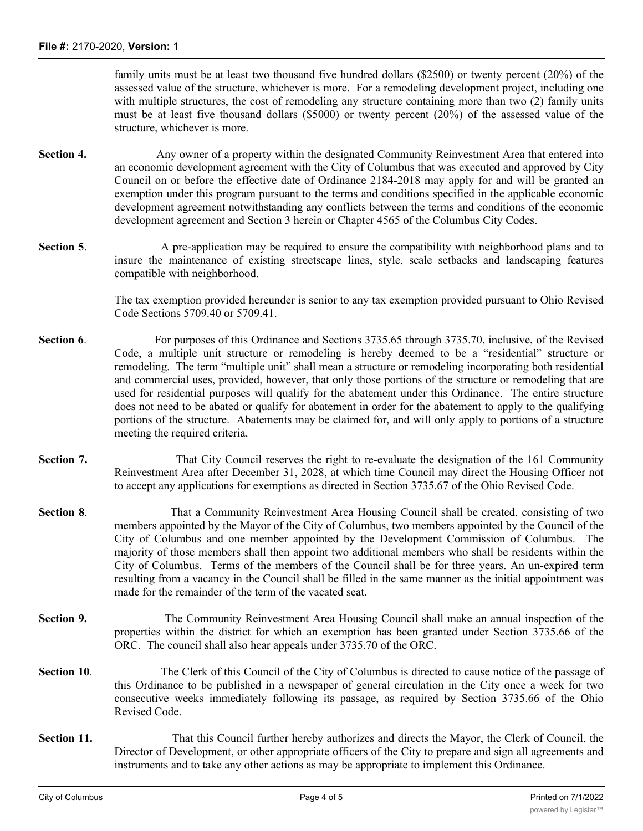#### **File #:** 2170-2020, **Version:** 1

family units must be at least two thousand five hundred dollars (\$2500) or twenty percent (20%) of the assessed value of the structure, whichever is more. For a remodeling development project, including one with multiple structures, the cost of remodeling any structure containing more than two (2) family units must be at least five thousand dollars (\$5000) or twenty percent (20%) of the assessed value of the structure, whichever is more.

- **Section 4.** Any owner of a property within the designated Community Reinvestment Area that entered into an economic development agreement with the City of Columbus that was executed and approved by City Council on or before the effective date of Ordinance 2184-2018 may apply for and will be granted an exemption under this program pursuant to the terms and conditions specified in the applicable economic development agreement notwithstanding any conflicts between the terms and conditions of the economic development agreement and Section 3 herein or Chapter 4565 of the Columbus City Codes.
- **Section 5.** A pre-application may be required to ensure the compatibility with neighborhood plans and to insure the maintenance of existing streetscape lines, style, scale setbacks and landscaping features compatible with neighborhood.

The tax exemption provided hereunder is senior to any tax exemption provided pursuant to Ohio Revised Code Sections 5709.40 or 5709.41.

- **Section 6.** For purposes of this Ordinance and Sections 3735.65 through 3735.70, inclusive, of the Revised Code, a multiple unit structure or remodeling is hereby deemed to be a "residential" structure or remodeling. The term "multiple unit" shall mean a structure or remodeling incorporating both residential and commercial uses, provided, however, that only those portions of the structure or remodeling that are used for residential purposes will qualify for the abatement under this Ordinance. The entire structure does not need to be abated or qualify for abatement in order for the abatement to apply to the qualifying portions of the structure. Abatements may be claimed for, and will only apply to portions of a structure meeting the required criteria.
- **Section 7.** That City Council reserves the right to re-evaluate the designation of the 161 Community Reinvestment Area after December 31, 2028, at which time Council may direct the Housing Officer not to accept any applications for exemptions as directed in Section 3735.67 of the Ohio Revised Code.
- **Section 8.** That a Community Reinvestment Area Housing Council shall be created, consisting of two members appointed by the Mayor of the City of Columbus, two members appointed by the Council of the City of Columbus and one member appointed by the Development Commission of Columbus. The majority of those members shall then appoint two additional members who shall be residents within the City of Columbus. Terms of the members of the Council shall be for three years. An un-expired term resulting from a vacancy in the Council shall be filled in the same manner as the initial appointment was made for the remainder of the term of the vacated seat.
- **Section 9.** The Community Reinvestment Area Housing Council shall make an annual inspection of the properties within the district for which an exemption has been granted under Section 3735.66 of the ORC. The council shall also hear appeals under 3735.70 of the ORC.
- **Section 10.** The Clerk of this Council of the City of Columbus is directed to cause notice of the passage of this Ordinance to be published in a newspaper of general circulation in the City once a week for two consecutive weeks immediately following its passage, as required by Section 3735.66 of the Ohio Revised Code.
- **Section 11.** That this Council further hereby authorizes and directs the Mayor, the Clerk of Council, the Director of Development, or other appropriate officers of the City to prepare and sign all agreements and instruments and to take any other actions as may be appropriate to implement this Ordinance.